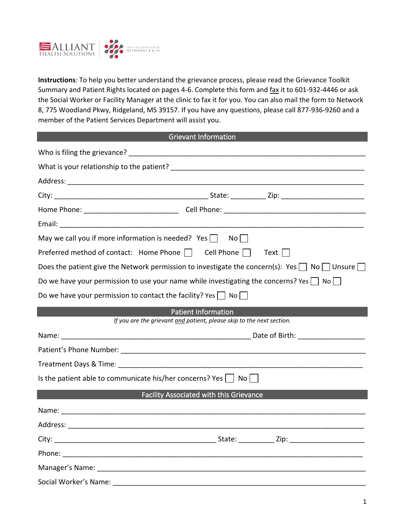

**Instructions**: To help you better understand the grievance process, please read the Grievance Toolkit Summary and Patient Rights located on pages 4-6. Complete this form and fax it to 601-932-4446 or ask the Social Worker or Facility Manager at the clinic to fax it for you. You can also mail the form to Network 8, 775 Woodland Pkwy, Ridgeland, MS 39157. If you have any questions, please call 877-936-9260 and a member of the Patient Services Department will assist you.

### Grievant Information

|                       | May we call you if more information is needed? $Yes$   $\mid$ No                                                                                                                                                               |  |
|-----------------------|--------------------------------------------------------------------------------------------------------------------------------------------------------------------------------------------------------------------------------|--|
|                       | Preferred method of contact: Home Phone $\Box$ Cell Phone $\Box$ Text $\Box$                                                                                                                                                   |  |
|                       | Does the patient give the Network permission to investigate the concern(s): Yes $\Box$ No $\Box$ Unsure $\Box$                                                                                                                 |  |
|                       | Do we have your permission to use your name while investigating the concerns? Yes $\Box$ No $\Box$                                                                                                                             |  |
|                       | Do we have your permission to contact the facility? Yes $\Box$ No $\Box$                                                                                                                                                       |  |
|                       | <b>Patient Information</b>                                                                                                                                                                                                     |  |
|                       | If you are the grievant and patient, please skip to the next section.                                                                                                                                                          |  |
|                       |                                                                                                                                                                                                                                |  |
|                       |                                                                                                                                                                                                                                |  |
|                       | Treatment Days & Time: Notified the state of the state of the state of the state of the state of the state of the state of the state of the state of the state of the state of the state of the state of the state of the stat |  |
|                       | Is the patient able to communicate his/her concerns? Yes $\vert$ $\vert$ No $\vert$ $\vert$                                                                                                                                    |  |
|                       | Facility Associated with this Grievance                                                                                                                                                                                        |  |
|                       |                                                                                                                                                                                                                                |  |
|                       |                                                                                                                                                                                                                                |  |
|                       |                                                                                                                                                                                                                                |  |
|                       |                                                                                                                                                                                                                                |  |
|                       |                                                                                                                                                                                                                                |  |
| Social Worker's Name: |                                                                                                                                                                                                                                |  |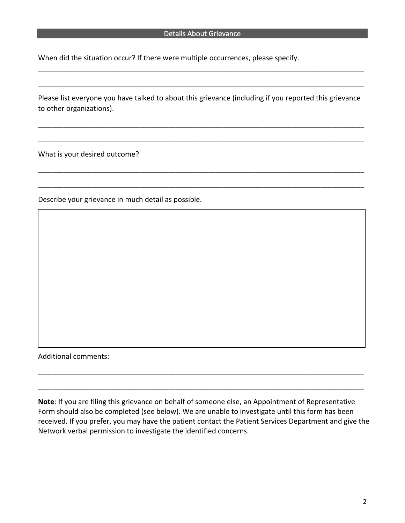#### Details About Grievance

\_\_\_\_\_\_\_\_\_\_\_\_\_\_\_\_\_\_\_\_\_\_\_\_\_\_\_\_\_\_\_\_\_\_\_\_\_\_\_\_\_\_\_\_\_\_\_\_\_\_\_\_\_\_\_\_\_\_\_\_\_\_\_\_\_\_\_\_\_\_\_\_\_\_\_\_\_\_\_\_\_\_\_\_\_\_\_\_\_\_

\_\_\_\_\_\_\_\_\_\_\_\_\_\_\_\_\_\_\_\_\_\_\_\_\_\_\_\_\_\_\_\_\_\_\_\_\_\_\_\_\_\_\_\_\_\_\_\_\_\_\_\_\_\_\_\_\_\_\_\_\_\_\_\_\_\_\_\_\_\_\_\_\_\_\_\_\_\_\_\_\_\_\_\_\_\_\_\_\_\_

When did the situation occur? If there were multiple occurrences, please specify.

Please list everyone you have talked to about this grievance (including if you reported this grievance to other organizations).

\_\_\_\_\_\_\_\_\_\_\_\_\_\_\_\_\_\_\_\_\_\_\_\_\_\_\_\_\_\_\_\_\_\_\_\_\_\_\_\_\_\_\_\_\_\_\_\_\_\_\_\_\_\_\_\_\_\_\_\_\_\_\_\_\_\_\_\_\_\_\_\_\_\_\_\_\_\_\_\_\_\_\_\_\_\_\_\_\_\_

\_\_\_\_\_\_\_\_\_\_\_\_\_\_\_\_\_\_\_\_\_\_\_\_\_\_\_\_\_\_\_\_\_\_\_\_\_\_\_\_\_\_\_\_\_\_\_\_\_\_\_\_\_\_\_\_\_\_\_\_\_\_\_\_\_\_\_\_\_\_\_\_\_\_\_\_\_\_\_\_\_\_\_\_\_\_\_\_\_\_

\_\_\_\_\_\_\_\_\_\_\_\_\_\_\_\_\_\_\_\_\_\_\_\_\_\_\_\_\_\_\_\_\_\_\_\_\_\_\_\_\_\_\_\_\_\_\_\_\_\_\_\_\_\_\_\_\_\_\_\_\_\_\_\_\_\_\_\_\_\_\_\_\_\_\_\_\_\_\_\_\_\_\_\_\_\_\_\_\_\_

\_\_\_\_\_\_\_\_\_\_\_\_\_\_\_\_\_\_\_\_\_\_\_\_\_\_\_\_\_\_\_\_\_\_\_\_\_\_\_\_\_\_\_\_\_\_\_\_\_\_\_\_\_\_\_\_\_\_\_\_\_\_\_\_\_\_\_\_\_\_\_\_\_\_\_\_\_\_\_\_\_\_\_\_\_\_\_\_\_\_

What is your desired outcome?

Describe your grievance in much detail as possible.

Additional comments:

**Note**: If you are filing this grievance on behalf of someone else, an Appointment of Representative Form should also be completed (see below). We are unable to investigate until this form has been received. If you prefer, you may have the patient contact the Patient Services Department and give the Network verbal permission to investigate the identified concerns.

\_\_\_\_\_\_\_\_\_\_\_\_\_\_\_\_\_\_\_\_\_\_\_\_\_\_\_\_\_\_\_\_\_\_\_\_\_\_\_\_\_\_\_\_\_\_\_\_\_\_\_\_\_\_\_\_\_\_\_\_\_\_\_\_\_\_\_\_\_\_\_\_\_\_\_\_\_\_\_\_\_\_\_\_\_\_\_\_\_\_

\_\_\_\_\_\_\_\_\_\_\_\_\_\_\_\_\_\_\_\_\_\_\_\_\_\_\_\_\_\_\_\_\_\_\_\_\_\_\_\_\_\_\_\_\_\_\_\_\_\_\_\_\_\_\_\_\_\_\_\_\_\_\_\_\_\_\_\_\_\_\_\_\_\_\_\_\_\_\_\_\_\_\_\_\_\_\_\_\_\_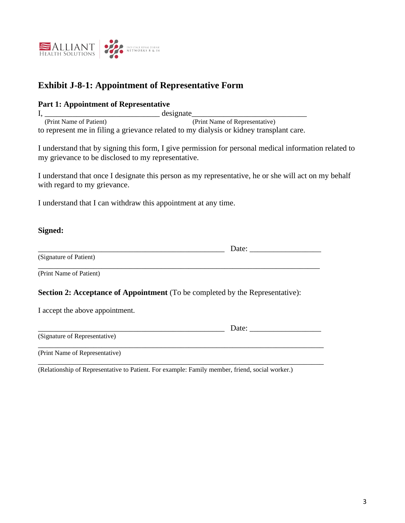

# **Exhibit J-8-1: Appointment of Representative Form**

#### **Part 1: Appointment of Representative**

I, \_\_\_\_\_\_\_\_\_\_\_\_\_\_\_\_\_\_\_\_\_\_\_\_\_\_\_\_\_ designate\_\_\_\_\_\_\_\_\_\_\_\_\_\_\_\_\_\_\_\_\_\_\_\_\_\_\_\_\_ (Print Name of Representative) to represent me in filing a grievance related to my dialysis or kidney transplant care.

 I understand that by signing this form, I give permission for personal medical information related to my grievance to be disclosed to my representative.

I understand that once I designate this person as my representative, he or she will act on my behalf with regard to my grievance.

I understand that I can withdraw this appointment at any time.

#### **Signed:**

Date: (Signature of Patient)

\_\_\_\_\_\_\_\_\_\_\_\_\_\_\_\_\_\_\_\_\_\_\_\_\_\_\_\_\_\_\_\_\_\_\_\_\_\_\_\_\_\_\_\_\_\_\_\_\_\_\_\_\_\_\_\_\_\_\_\_\_\_\_\_\_\_\_\_\_\_\_

(Print Name of Patient)

**Section 2: Acceptance of Appointment** (To be completed by the Representative):

I accept the above appointment.

|                                | Date: |  |
|--------------------------------|-------|--|
| (Signature of Representative)  |       |  |
| (Print Name of Representative) |       |  |
|                                |       |  |

(Relationship of Representative to Patient. For example: Family member, friend, social worker.)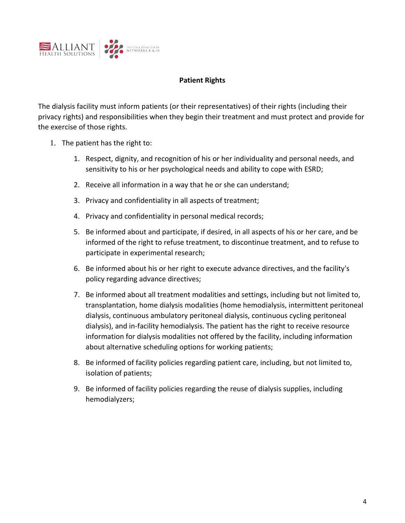

## **Patient Rights**

The dialysis facility must inform patients (or their representatives) of their rights (including their privacy rights) and responsibilities when they begin their treatment and must protect and provide for the exercise of those rights.

- 1. The patient has the right to:
	- 1. Respect, dignity, and recognition of his or her individuality and personal needs, and sensitivity to his or her psychological needs and ability to cope with ESRD;
	- 2. Receive all information in a way that he or she can understand;
	- 3. Privacy and confidentiality in all aspects of treatment;
	- 4. Privacy and confidentiality in personal medical records;
	- 5. Be informed about and participate, if desired, in all aspects of his or her care, and be informed of the right to refuse treatment, to discontinue treatment, and to refuse to participate in experimental research;
	- 6. Be informed about his or her right to execute advance directives, and the facility's policy regarding advance directives;
	- 7. Be informed about all treatment modalities and settings, including but not limited to, transplantation, home dialysis modalities (home hemodialysis, intermittent peritoneal dialysis, continuous ambulatory peritoneal dialysis, continuous cycling peritoneal dialysis), and in-facility hemodialysis. The patient has the right to receive resource information for dialysis modalities not offered by the facility, including information about alternative scheduling options for working patients;
	- 8. Be informed of facility policies regarding patient care, including, but not limited to, isolation of patients;
	- 9. Be informed of facility policies regarding the reuse of dialysis supplies, including hemodialyzers;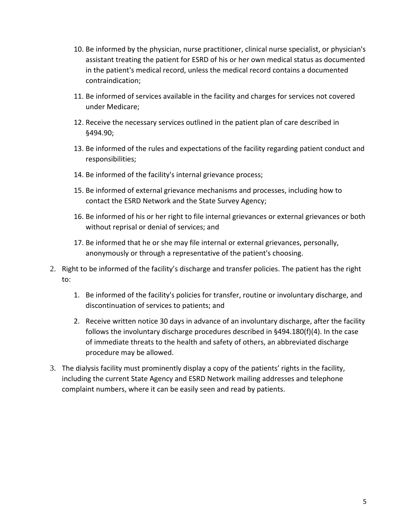- 10. Be informed by the physician, nurse practitioner, clinical nurse specialist, or physician's assistant treating the patient for ESRD of his or her own medical status as documented in the patient's medical record, unless the medical record contains a documented contraindication;
- 11. Be informed of services available in the facility and charges for services not covered under Medicare;
- 12. Receive the necessary services outlined in the patient plan of care described in §494.90;
- 13. Be informed of the rules and expectations of the facility regarding patient conduct and responsibilities;
- 14. Be informed of the facility's internal grievance process;
- 15. Be informed of external grievance mechanisms and processes, including how to contact the ESRD Network and the State Survey Agency;
- 16. Be informed of his or her right to file internal grievances or external grievances or both without reprisal or denial of services; and
- 17. Be informed that he or she may file internal or external grievances, personally, anonymously or through a representative of the patient's choosing.
- 2. Right to be informed of the facility's discharge and transfer policies. The patient has the right to:
	- 1. Be informed of the facility's policies for transfer, routine or involuntary discharge, and discontinuation of services to patients; and
	- 2. Receive written notice 30 days in advance of an involuntary discharge, after the facility follows the involuntary discharge procedures described in §494.180(f)(4). In the case of immediate threats to the health and safety of others, an abbreviated discharge procedure may be allowed.
- 3. The dialysis facility must prominently display a copy of the patients' rights in the facility, including the current State Agency and ESRD Network mailing addresses and telephone complaint numbers, where it can be easily seen and read by patients.